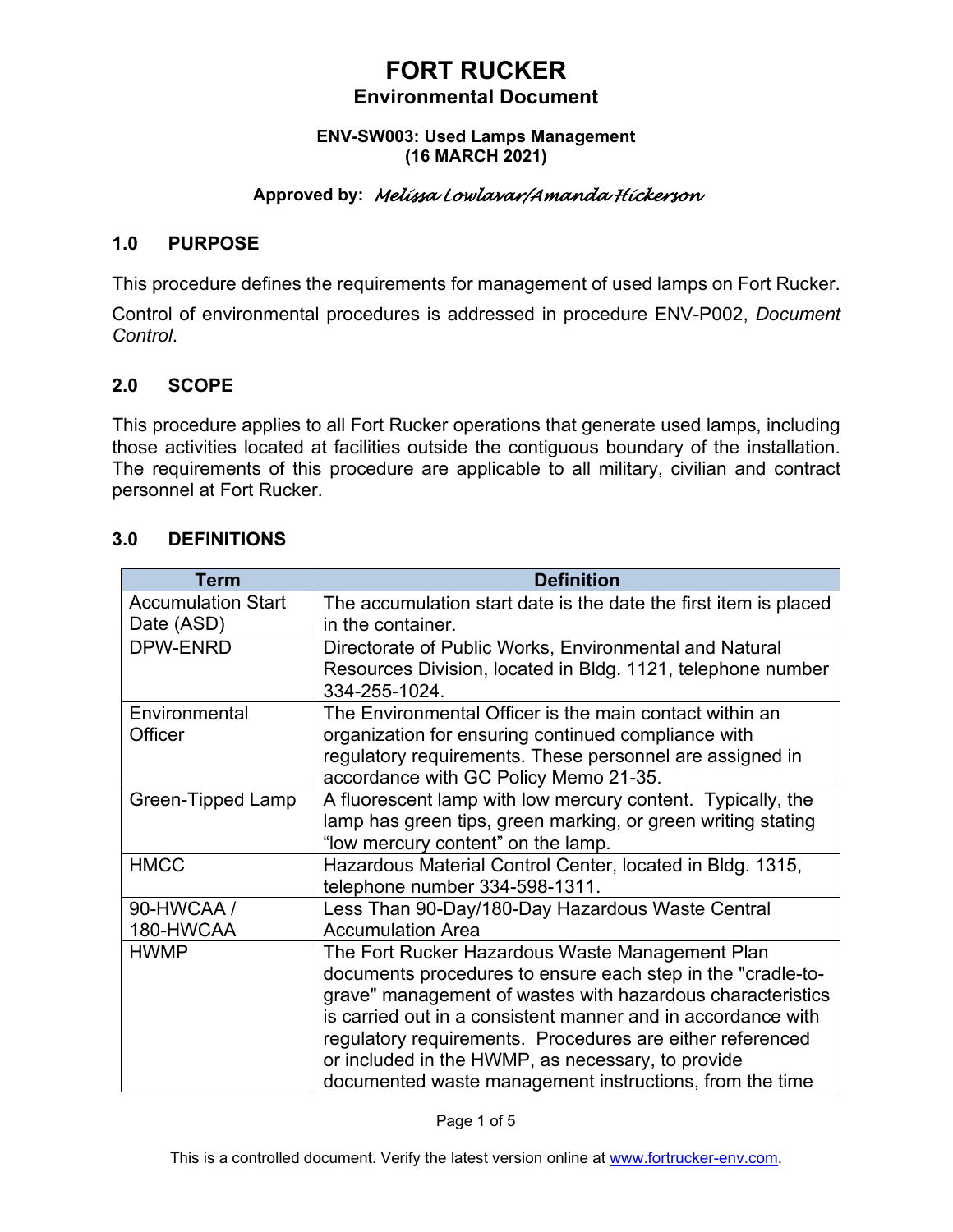#### **ENV-SW003: Used Lamps Management (16 MARCH 2021)**

## **Approved by:** *Melissa Lowlavar/Amanda Hickerson*

## **1.0 PURPOSE**

This procedure defines the requirements for management of used lamps on Fort Rucker.

Control of environmental procedures is addressed in procedure ENV-P002, *Document Control*.

## **2.0 SCOPE**

This procedure applies to all Fort Rucker operations that generate used lamps, including those activities located at facilities outside the contiguous boundary of the installation. The requirements of this procedure are applicable to all military, civilian and contract personnel at Fort Rucker.

### **3.0 DEFINITIONS**

| Term                      | <b>Definition</b>                                                |
|---------------------------|------------------------------------------------------------------|
| <b>Accumulation Start</b> | The accumulation start date is the date the first item is placed |
| Date (ASD)                | in the container.                                                |
| DPW-ENRD                  | Directorate of Public Works, Environmental and Natural           |
|                           | Resources Division, located in Bldg. 1121, telephone number      |
|                           | 334-255-1024.                                                    |
| Environmental             | The Environmental Officer is the main contact within an          |
| Officer                   | organization for ensuring continued compliance with              |
|                           | regulatory requirements. These personnel are assigned in         |
|                           | accordance with GC Policy Memo 21-35.                            |
| Green-Tipped Lamp         | A fluorescent lamp with low mercury content. Typically, the      |
|                           | lamp has green tips, green marking, or green writing stating     |
|                           | "low mercury content" on the lamp.                               |
| <b>HMCC</b>               | Hazardous Material Control Center, located in Bldg. 1315,        |
|                           | telephone number 334-598-1311.                                   |
| 90-HWCAA /                | Less Than 90-Day/180-Day Hazardous Waste Central                 |
| 180-HWCAA                 | <b>Accumulation Area</b>                                         |
| <b>HWMP</b>               | The Fort Rucker Hazardous Waste Management Plan                  |
|                           | documents procedures to ensure each step in the "cradle-to-      |
|                           | grave" management of wastes with hazardous characteristics       |
|                           | is carried out in a consistent manner and in accordance with     |
|                           | regulatory requirements. Procedures are either referenced        |
|                           | or included in the HWMP, as necessary, to provide                |
|                           | documented waste management instructions, from the time          |

Page 1 of 5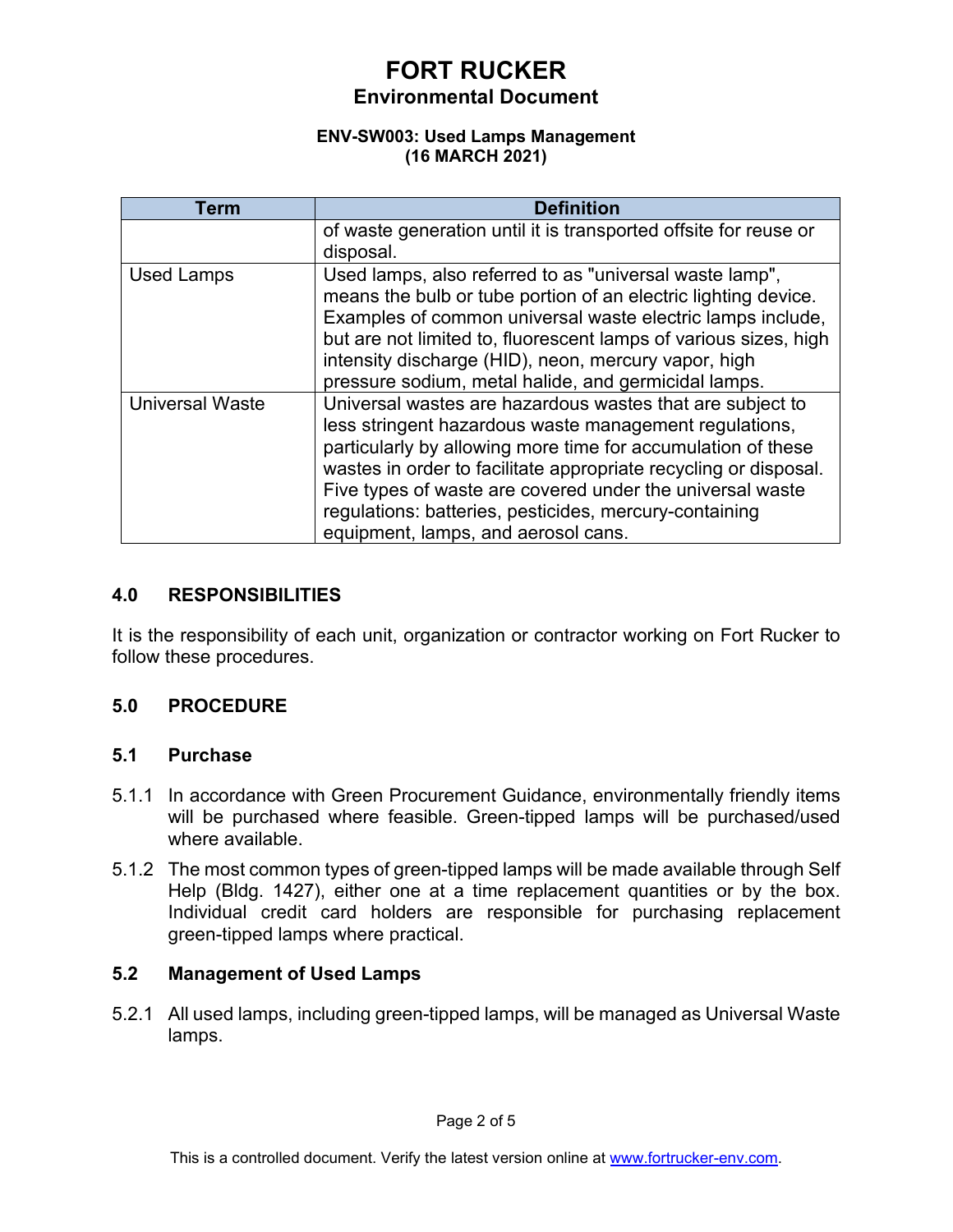### **ENV-SW003: Used Lamps Management (16 MARCH 2021)**

| Term                   | <b>Definition</b>                                                                                                                                                                                                                                                                                                                                                                                                     |
|------------------------|-----------------------------------------------------------------------------------------------------------------------------------------------------------------------------------------------------------------------------------------------------------------------------------------------------------------------------------------------------------------------------------------------------------------------|
|                        | of waste generation until it is transported offsite for reuse or<br>disposal.                                                                                                                                                                                                                                                                                                                                         |
| <b>Used Lamps</b>      | Used lamps, also referred to as "universal waste lamp",<br>means the bulb or tube portion of an electric lighting device.<br>Examples of common universal waste electric lamps include,<br>but are not limited to, fluorescent lamps of various sizes, high<br>intensity discharge (HID), neon, mercury vapor, high<br>pressure sodium, metal halide, and germicidal lamps.                                           |
| <b>Universal Waste</b> | Universal wastes are hazardous wastes that are subject to<br>less stringent hazardous waste management regulations,<br>particularly by allowing more time for accumulation of these<br>wastes in order to facilitate appropriate recycling or disposal.<br>Five types of waste are covered under the universal waste<br>regulations: batteries, pesticides, mercury-containing<br>equipment, lamps, and aerosol cans. |

## **4.0 RESPONSIBILITIES**

It is the responsibility of each unit, organization or contractor working on Fort Rucker to follow these procedures.

## **5.0 PROCEDURE**

### **5.1 Purchase**

- 5.1.1 In accordance with Green Procurement Guidance, environmentally friendly items will be purchased where feasible. Green-tipped lamps will be purchased/used where available.
- 5.1.2 The most common types of green-tipped lamps will be made available through Self Help (Bldg. 1427), either one at a time replacement quantities or by the box. Individual credit card holders are responsible for purchasing replacement green-tipped lamps where practical.

## **5.2 Management of Used Lamps**

5.2.1 All used lamps, including green-tipped lamps, will be managed as Universal Waste lamps.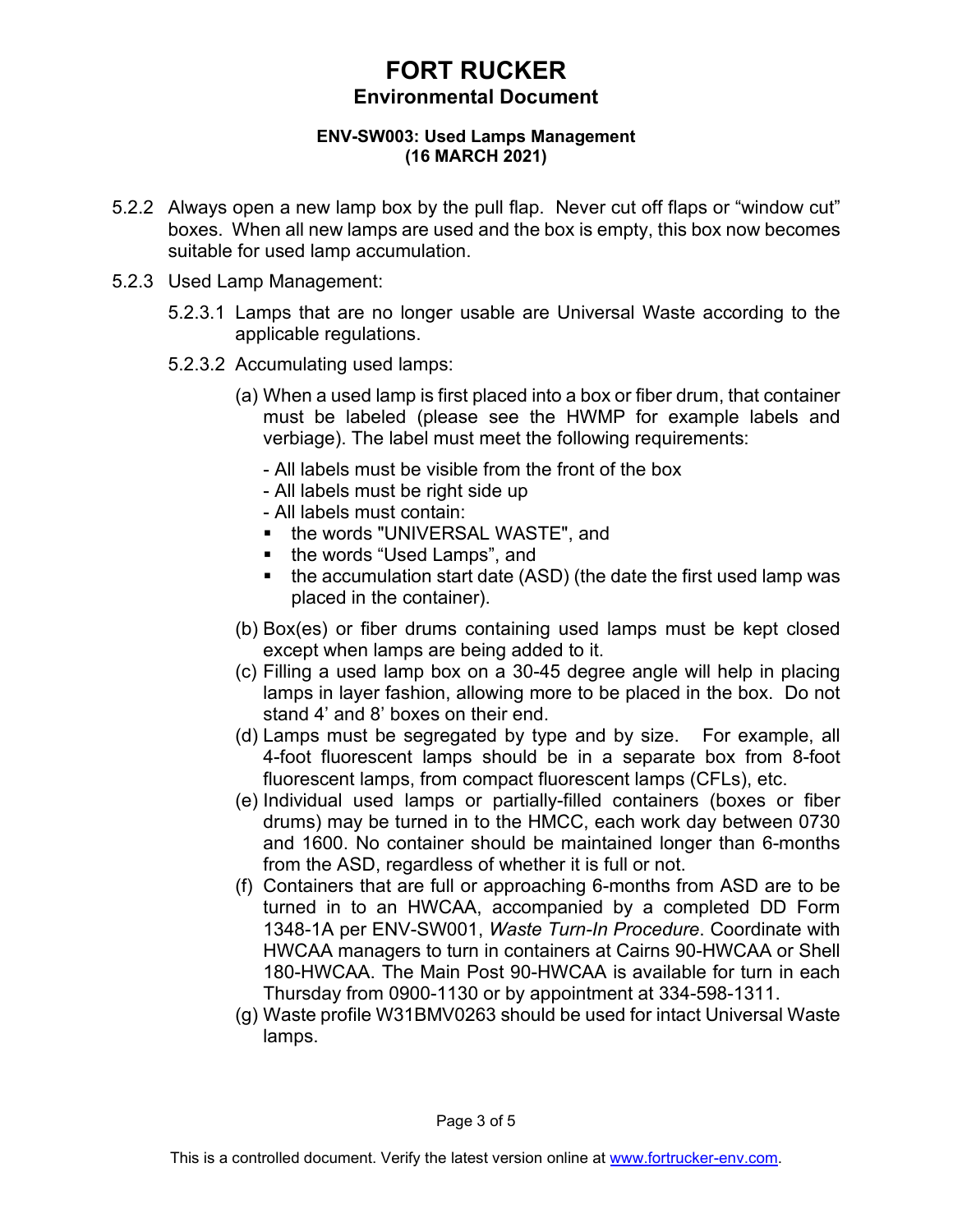#### **ENV-SW003: Used Lamps Management (16 MARCH 2021)**

- 5.2.2 Always open a new lamp box by the pull flap. Never cut off flaps or "window cut" boxes. When all new lamps are used and the box is empty, this box now becomes suitable for used lamp accumulation.
- 5.2.3 Used Lamp Management:
	- 5.2.3.1 Lamps that are no longer usable are Universal Waste according to the applicable regulations.
	- 5.2.3.2 Accumulating used lamps:
		- (a) When a used lamp is first placed into a box or fiber drum, that container must be labeled (please see the HWMP for example labels and verbiage). The label must meet the following requirements:
			- All labels must be visible from the front of the box
			- All labels must be right side up
			- All labels must contain:
			- **the words "UNIVERSAL WASTE", and**
			- the words "Used Lamps", and
			- $\blacksquare$  the accumulation start date (ASD) (the date the first used lamp was placed in the container).
		- (b) Box(es) or fiber drums containing used lamps must be kept closed except when lamps are being added to it.
		- (c) Filling a used lamp box on a 30-45 degree angle will help in placing lamps in layer fashion, allowing more to be placed in the box. Do not stand 4' and 8' boxes on their end.
		- (d) Lamps must be segregated by type and by size. For example, all 4-foot fluorescent lamps should be in a separate box from 8-foot fluorescent lamps, from compact fluorescent lamps (CFLs), etc.
		- (e) Individual used lamps or partially-filled containers (boxes or fiber drums) may be turned in to the HMCC, each work day between 0730 and 1600. No container should be maintained longer than 6-months from the ASD, regardless of whether it is full or not.
		- (f) Containers that are full or approaching 6-months from ASD are to be turned in to an HWCAA, accompanied by a completed DD Form 1348-1A per ENV-SW001, *Waste Turn-In Procedure*. Coordinate with HWCAA managers to turn in containers at Cairns 90-HWCAA or Shell 180-HWCAA. The Main Post 90-HWCAA is available for turn in each Thursday from 0900-1130 or by appointment at 334-598-1311.
		- (g) Waste profile W31BMV0263 should be used for intact Universal Waste lamps.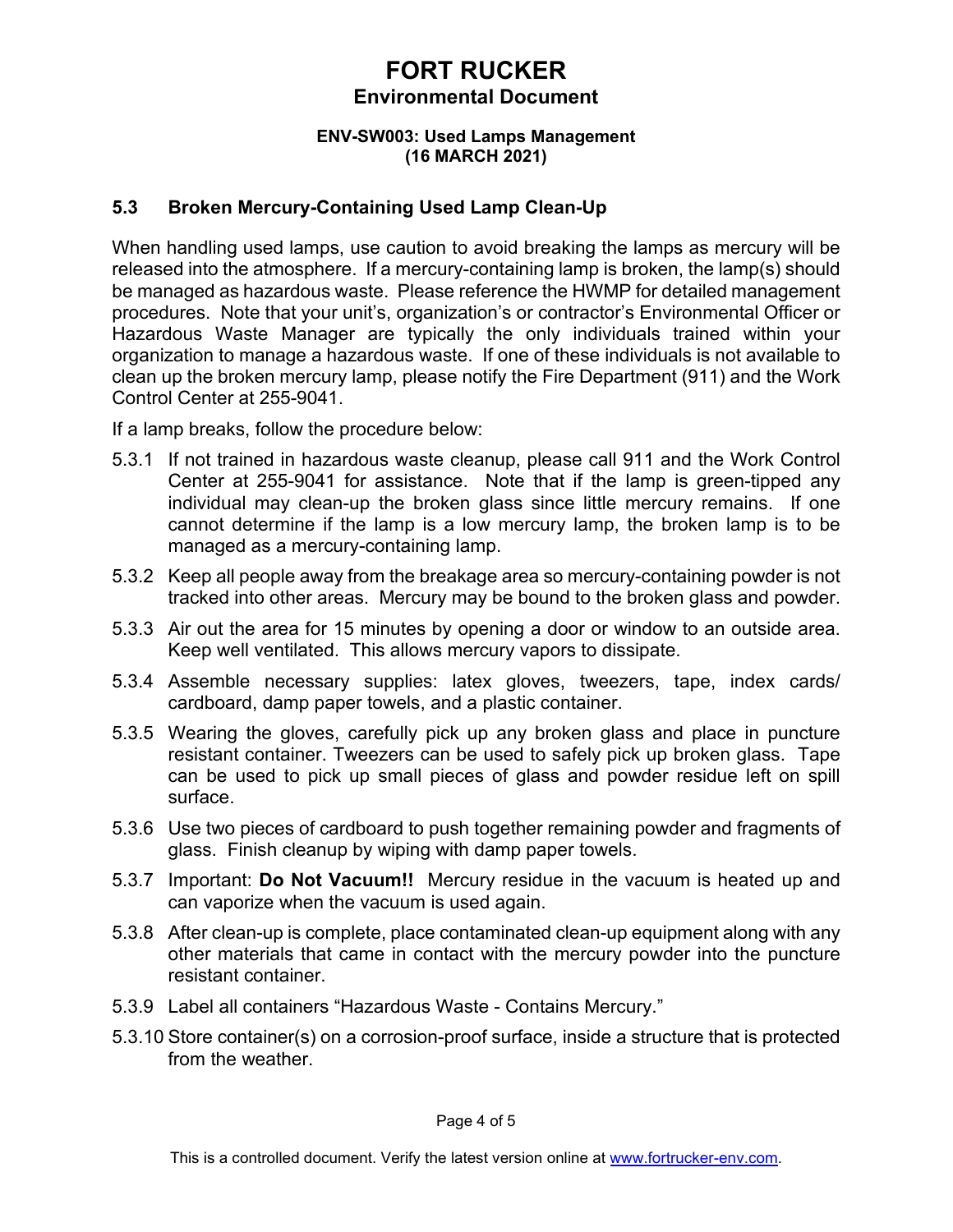### **ENV-SW003: Used Lamps Management (16 MARCH 2021)**

## **5.3 Broken Mercury-Containing Used Lamp Clean-Up**

When handling used lamps, use caution to avoid breaking the lamps as mercury will be released into the atmosphere. If a mercury-containing lamp is broken, the lamp(s) should be managed as hazardous waste. Please reference the HWMP for detailed management procedures. Note that your unit's, organization's or contractor's Environmental Officer or Hazardous Waste Manager are typically the only individuals trained within your organization to manage a hazardous waste. If one of these individuals is not available to clean up the broken mercury lamp, please notify the Fire Department (911) and the Work Control Center at 255-9041.

If a lamp breaks, follow the procedure below:

- 5.3.1 If not trained in hazardous waste cleanup, please call 911 and the Work Control Center at 255-9041 for assistance. Note that if the lamp is green-tipped any individual may clean-up the broken glass since little mercury remains. If one cannot determine if the lamp is a low mercury lamp, the broken lamp is to be managed as a mercury-containing lamp.
- 5.3.2 Keep all people away from the breakage area so mercury-containing powder is not tracked into other areas. Mercury may be bound to the broken glass and powder.
- 5.3.3 Air out the area for 15 minutes by opening a door or window to an outside area. Keep well ventilated. This allows mercury vapors to dissipate.
- 5.3.4 Assemble necessary supplies: latex gloves, tweezers, tape, index cards/ cardboard, damp paper towels, and a plastic container.
- 5.3.5 Wearing the gloves, carefully pick up any broken glass and place in puncture resistant container. Tweezers can be used to safely pick up broken glass. Tape can be used to pick up small pieces of glass and powder residue left on spill surface.
- 5.3.6 Use two pieces of cardboard to push together remaining powder and fragments of glass. Finish cleanup by wiping with damp paper towels.
- 5.3.7 Important: **Do Not Vacuum!!** Mercury residue in the vacuum is heated up and can vaporize when the vacuum is used again.
- 5.3.8 After clean-up is complete, place contaminated clean-up equipment along with any other materials that came in contact with the mercury powder into the puncture resistant container.
- 5.3.9 Label all containers "Hazardous Waste Contains Mercury."
- 5.3.10 Store container(s) on a corrosion-proof surface, inside a structure that is protected from the weather.